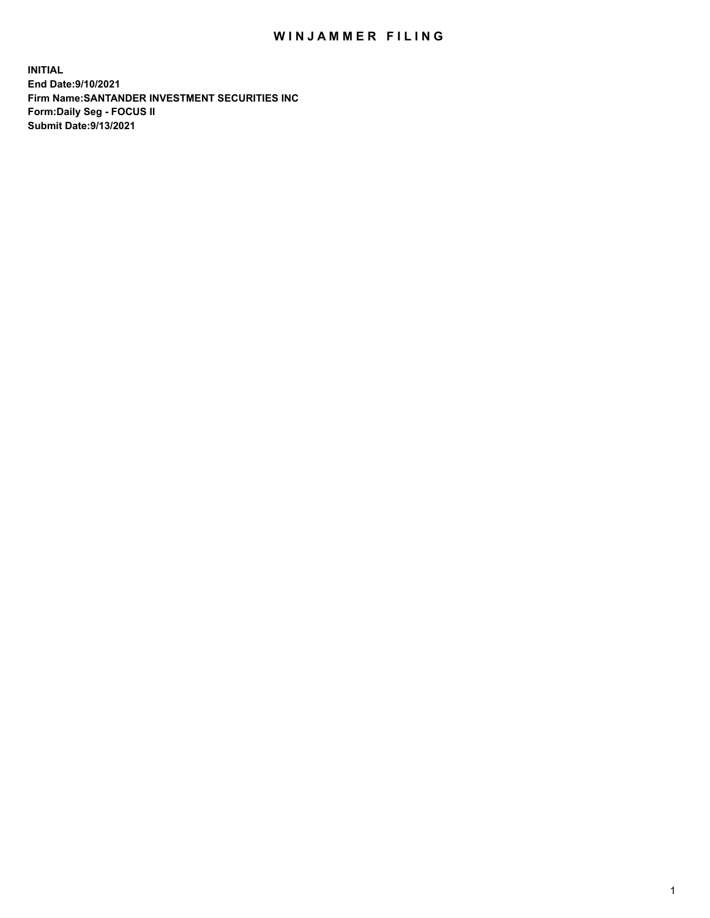## WIN JAMMER FILING

**INITIAL End Date:9/10/2021 Firm Name:SANTANDER INVESTMENT SECURITIES INC Form:Daily Seg - FOCUS II Submit Date:9/13/2021**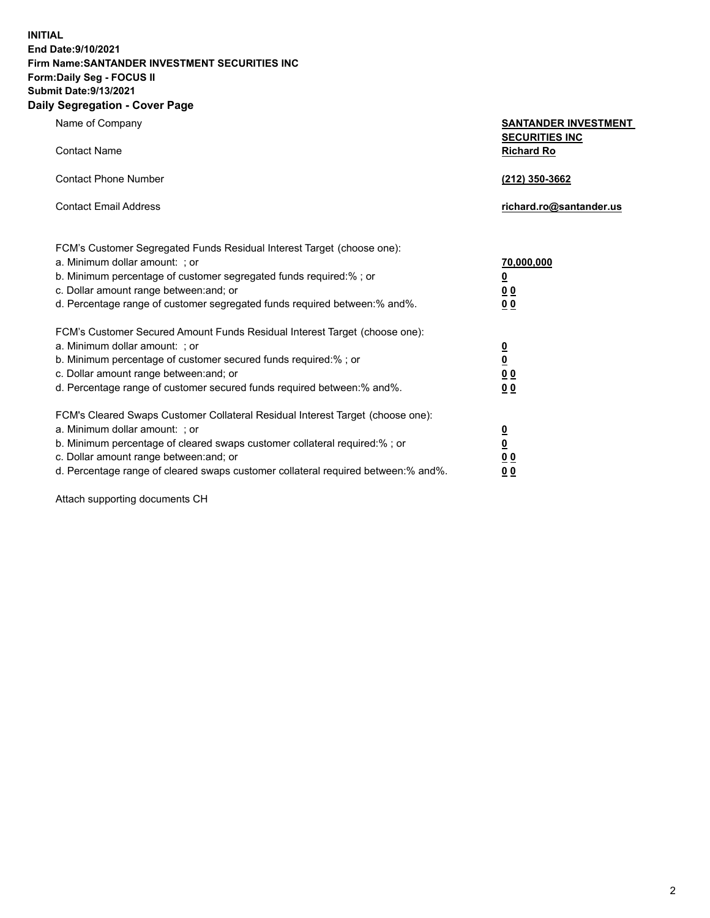**INITIAL End Date:9/10/2021 Firm Name:SANTANDER INVESTMENT SECURITIES INC Form:Daily Seg - FOCUS II Submit Date:9/13/2021 Daily Segregation - Cover Page**

| Name of Company                                                                   | <b>SANTANDER INVESTMENT</b> |
|-----------------------------------------------------------------------------------|-----------------------------|
|                                                                                   | <b>SECURITIES INC</b>       |
| <b>Contact Name</b>                                                               | <b>Richard Ro</b>           |
| <b>Contact Phone Number</b>                                                       | (212) 350-3662              |
| <b>Contact Email Address</b>                                                      | richard.ro@santander.us     |
| FCM's Customer Segregated Funds Residual Interest Target (choose one):            |                             |
| a. Minimum dollar amount: ; or                                                    | 70,000,000                  |
| b. Minimum percentage of customer segregated funds required:% ; or                | $\overline{\mathbf{0}}$     |
| c. Dollar amount range between: and; or                                           | 0 <sup>0</sup>              |
| d. Percentage range of customer segregated funds required between:% and%.         | 0 <sub>0</sub>              |
| FCM's Customer Secured Amount Funds Residual Interest Target (choose one):        |                             |
| a. Minimum dollar amount: ; or                                                    | 0<br>0<br>0 0               |
| b. Minimum percentage of customer secured funds required:%; or                    |                             |
| c. Dollar amount range between: and; or                                           |                             |
| d. Percentage range of customer secured funds required between:% and%.            | 0 <sub>0</sub>              |
| FCM's Cleared Swaps Customer Collateral Residual Interest Target (choose one):    |                             |
| a. Minimum dollar amount: ; or                                                    | $\overline{\mathbf{0}}$     |
| b. Minimum percentage of cleared swaps customer collateral required:% ; or        | $\underline{\mathbf{0}}$    |
| c. Dollar amount range between: and; or                                           | 0 <sub>0</sub>              |
| d. Percentage range of cleared swaps customer collateral required between:% and%. | 0 <sub>0</sub>              |

Attach supporting documents CH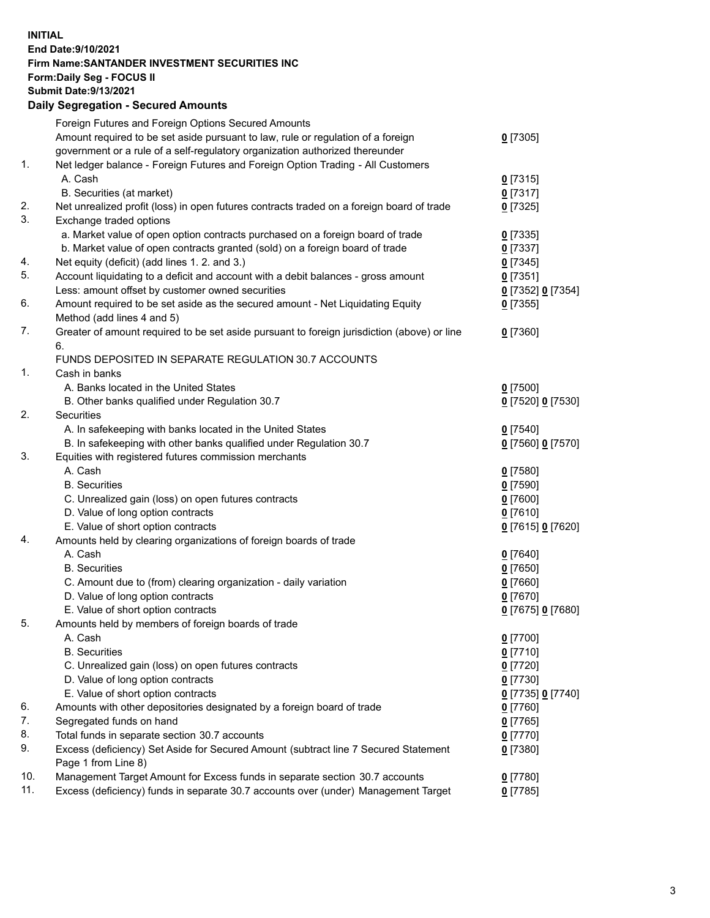**INITIAL End Date:9/10/2021 Firm Name:SANTANDER INVESTMENT SECURITIES INC Form:Daily Seg - FOCUS II Submit Date:9/13/2021 Daily Segregation - Secured Amounts**

|     | Foreign Futures and Foreign Options Secured Amounts                                         |                   |
|-----|---------------------------------------------------------------------------------------------|-------------------|
|     | Amount required to be set aside pursuant to law, rule or regulation of a foreign            | $0$ [7305]        |
|     | government or a rule of a self-regulatory organization authorized thereunder                |                   |
| 1.  | Net ledger balance - Foreign Futures and Foreign Option Trading - All Customers             |                   |
|     | A. Cash                                                                                     | $0$ [7315]        |
|     | B. Securities (at market)                                                                   | $0$ [7317]        |
| 2.  | Net unrealized profit (loss) in open futures contracts traded on a foreign board of trade   | $0$ [7325]        |
| 3.  | Exchange traded options                                                                     |                   |
|     | a. Market value of open option contracts purchased on a foreign board of trade              | $0$ [7335]        |
|     | b. Market value of open contracts granted (sold) on a foreign board of trade                | $0$ [7337]        |
| 4.  | Net equity (deficit) (add lines 1. 2. and 3.)                                               | $0$ [7345]        |
| 5.  | Account liquidating to a deficit and account with a debit balances - gross amount           | $0$ [7351]        |
|     | Less: amount offset by customer owned securities                                            | 0 [7352] 0 [7354] |
| 6.  | Amount required to be set aside as the secured amount - Net Liquidating Equity              | $0$ [7355]        |
|     | Method (add lines 4 and 5)                                                                  |                   |
| 7.  | Greater of amount required to be set aside pursuant to foreign jurisdiction (above) or line | $0$ [7360]        |
|     | 6.                                                                                          |                   |
|     | FUNDS DEPOSITED IN SEPARATE REGULATION 30.7 ACCOUNTS                                        |                   |
| 1.  | Cash in banks                                                                               |                   |
|     | A. Banks located in the United States                                                       | $0$ [7500]        |
|     | B. Other banks qualified under Regulation 30.7                                              | 0 [7520] 0 [7530] |
| 2.  | <b>Securities</b>                                                                           |                   |
|     | A. In safekeeping with banks located in the United States                                   | $0$ [7540]        |
|     | B. In safekeeping with other banks qualified under Regulation 30.7                          | 0 [7560] 0 [7570] |
| 3.  | Equities with registered futures commission merchants                                       |                   |
|     | A. Cash                                                                                     | $0$ [7580]        |
|     | <b>B.</b> Securities                                                                        | $0$ [7590]        |
|     | C. Unrealized gain (loss) on open futures contracts                                         | $0$ [7600]        |
|     | D. Value of long option contracts                                                           | $0$ [7610]        |
|     | E. Value of short option contracts                                                          | 0 [7615] 0 [7620] |
| 4.  | Amounts held by clearing organizations of foreign boards of trade                           |                   |
|     | A. Cash                                                                                     | $0$ [7640]        |
|     | <b>B.</b> Securities                                                                        | $0$ [7650]        |
|     | C. Amount due to (from) clearing organization - daily variation                             | $0$ [7660]        |
|     | D. Value of long option contracts                                                           | $0$ [7670]        |
|     | E. Value of short option contracts                                                          | 0 [7675] 0 [7680] |
| 5.  | Amounts held by members of foreign boards of trade                                          |                   |
|     | A. Cash                                                                                     | $0$ [7700]        |
|     | <b>B.</b> Securities                                                                        | $0$ [7710]        |
|     | C. Unrealized gain (loss) on open futures contracts                                         | $0$ [7720]        |
|     | D. Value of long option contracts                                                           | $0$ [7730]        |
|     | E. Value of short option contracts                                                          | 0 [7735] 0 [7740] |
| 6.  | Amounts with other depositories designated by a foreign board of trade                      | $0$ [7760]        |
| 7.  | Segregated funds on hand                                                                    | $0$ [7765]        |
| 8.  | Total funds in separate section 30.7 accounts                                               | $0$ [7770]        |
| 9.  | Excess (deficiency) Set Aside for Secured Amount (subtract line 7 Secured Statement         | $0$ [7380]        |
|     | Page 1 from Line 8)                                                                         |                   |
| 10. | Management Target Amount for Excess funds in separate section 30.7 accounts                 | $0$ [7780]        |
| 11. | Excess (deficiency) funds in separate 30.7 accounts over (under) Management Target          | $0$ [7785]        |
|     |                                                                                             |                   |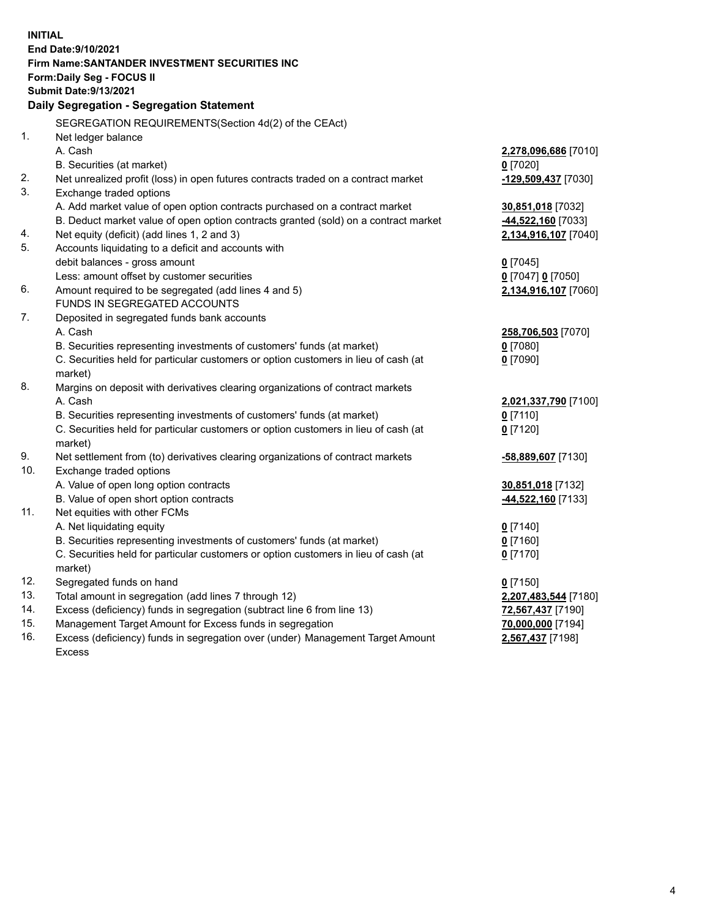| <b>INITIAL</b> | End Date: 9/10/2021                                                                                                                 |                      |
|----------------|-------------------------------------------------------------------------------------------------------------------------------------|----------------------|
|                | Firm Name: SANTANDER INVESTMENT SECURITIES INC                                                                                      |                      |
|                | Form: Daily Seg - FOCUS II                                                                                                          |                      |
|                | <b>Submit Date: 9/13/2021</b>                                                                                                       |                      |
|                | Daily Segregation - Segregation Statement                                                                                           |                      |
|                | SEGREGATION REQUIREMENTS(Section 4d(2) of the CEAct)                                                                                |                      |
| 1.             | Net ledger balance                                                                                                                  |                      |
|                | A. Cash                                                                                                                             | 2,278,096,686 [7010] |
|                | B. Securities (at market)                                                                                                           | $0$ [7020]           |
| 2.             | Net unrealized profit (loss) in open futures contracts traded on a contract market                                                  | -129,509,437 [7030]  |
| 3.             | Exchange traded options                                                                                                             |                      |
|                | A. Add market value of open option contracts purchased on a contract market                                                         | 30,851,018 [7032]    |
|                | B. Deduct market value of open option contracts granted (sold) on a contract market                                                 | 44,522,160 [7033]    |
| 4.             | Net equity (deficit) (add lines 1, 2 and 3)                                                                                         | 2,134,916,107 [7040] |
| 5.             | Accounts liquidating to a deficit and accounts with                                                                                 |                      |
|                | debit balances - gross amount                                                                                                       | $0$ [7045]           |
|                | Less: amount offset by customer securities                                                                                          | 0 [7047] 0 [7050]    |
| 6.             | Amount required to be segregated (add lines 4 and 5)                                                                                | 2,134,916,107 [7060] |
|                | FUNDS IN SEGREGATED ACCOUNTS                                                                                                        |                      |
| 7.             | Deposited in segregated funds bank accounts                                                                                         |                      |
|                | A. Cash                                                                                                                             | 258,706,503 [7070]   |
|                | B. Securities representing investments of customers' funds (at market)                                                              | $0$ [7080]           |
|                | C. Securities held for particular customers or option customers in lieu of cash (at                                                 | $0$ [7090]           |
|                | market)                                                                                                                             |                      |
| 8.             | Margins on deposit with derivatives clearing organizations of contract markets                                                      |                      |
|                | A. Cash                                                                                                                             | 2,021,337,790 [7100] |
|                | B. Securities representing investments of customers' funds (at market)                                                              | $0$ [7110]           |
|                | C. Securities held for particular customers or option customers in lieu of cash (at                                                 | $0$ [7120]           |
|                | market)                                                                                                                             |                      |
| 9.             | Net settlement from (to) derivatives clearing organizations of contract markets                                                     | -58,889,607 [7130]   |
| 10.            | Exchange traded options                                                                                                             |                      |
|                | A. Value of open long option contracts                                                                                              | 30,851,018 [7132]    |
|                | B. Value of open short option contracts                                                                                             | 44,522,160 [7133]    |
| 11.            | Net equities with other FCMs                                                                                                        |                      |
|                | A. Net liquidating equity                                                                                                           | $0$ [7140]           |
|                | B. Securities representing investments of customers' funds (at market)                                                              | $0$ [7160]           |
|                | C. Securities held for particular customers or option customers in lieu of cash (at                                                 | $0$ [7170]           |
| 12.            | market)                                                                                                                             |                      |
| 13.            | Segregated funds on hand                                                                                                            | $0$ [7150]           |
| 14.            | Total amount in segregation (add lines 7 through 12)                                                                                | 2,207,483,544 [7180] |
| 15.            | Excess (deficiency) funds in segregation (subtract line 6 from line 13)<br>Management Target Amount for Excess funds in segregation | 72,567,437 [7190]    |
| 16.            | Excess (deficiency) funds in segregation over (under) Management Target Amount                                                      | 70,000,000 [7194]    |
|                | <b>Excess</b>                                                                                                                       | 2,567,437 [7198]     |
|                |                                                                                                                                     |                      |